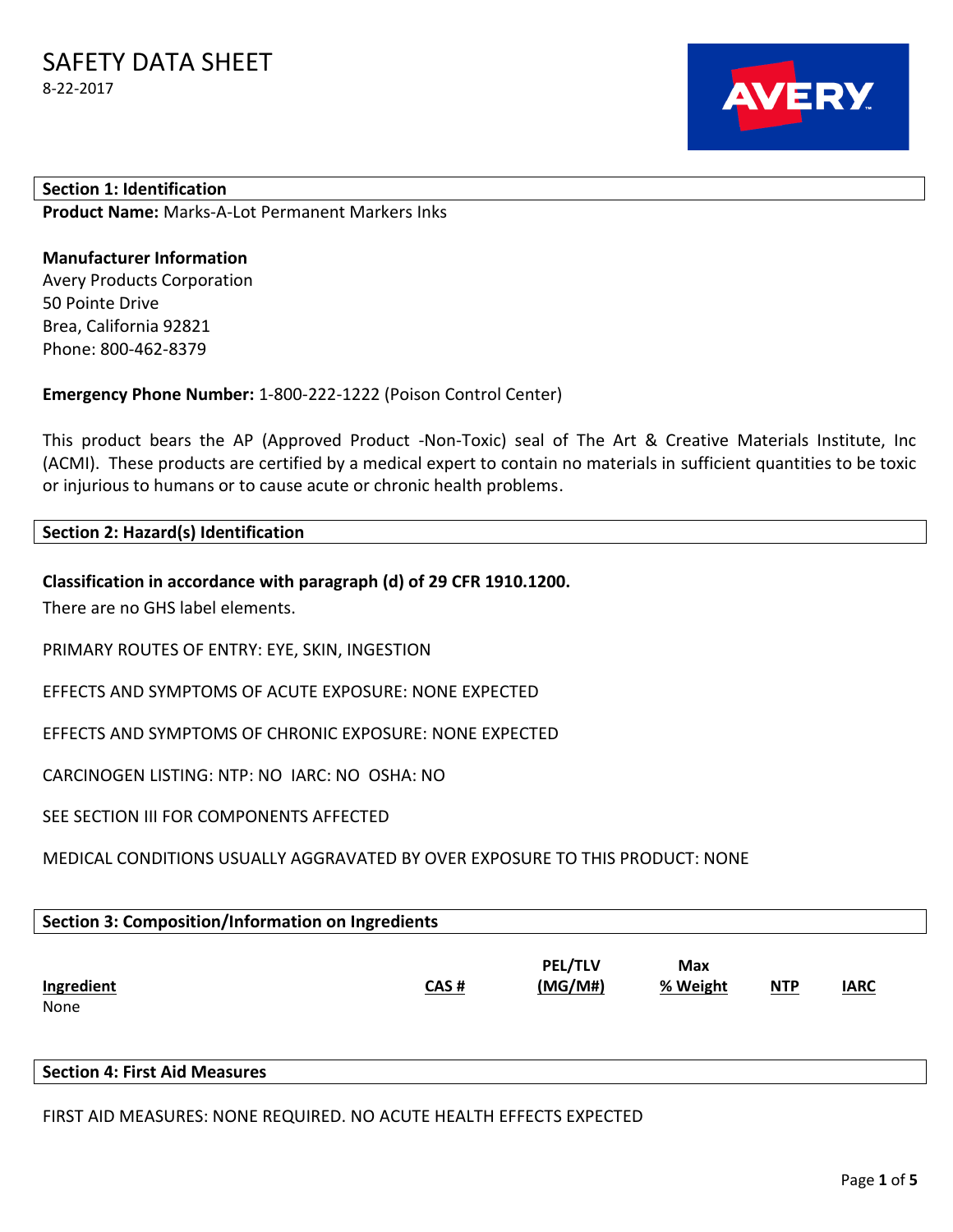

## **Section 1: Identification Product Name:** Marks-A-Lot Permanent Markers Inks

# **Manufacturer Information**

Avery Products Corporation 50 Pointe Drive Brea, California 92821 Phone: 800-462-8379

**Emergency Phone Number:** 1-800-222-1222 (Poison Control Center)

This product bears the AP (Approved Product -Non-Toxic) seal of The Art & Creative Materials Institute, Inc (ACMI). These products are certified by a medical expert to contain no materials in sufficient quantities to be toxic or injurious to humans or to cause acute or chronic health problems.

# **Section 2: Hazard(s) Identification**

# **Classification in accordance with paragraph (d) of 29 CFR 1910.1200.**

There are no GHS label elements.

PRIMARY ROUTES OF ENTRY: EYE, SKIN, INGESTION

EFFECTS AND SYMPTOMS OF ACUTE EXPOSURE: NONE EXPECTED

EFFECTS AND SYMPTOMS OF CHRONIC EXPOSURE: NONE EXPECTED

CARCINOGEN LISTING: NTP: NO IARC: NO OSHA: NO

SEE SECTION III FOR COMPONENTS AFFECTED

MEDICAL CONDITIONS USUALLY AGGRAVATED BY OVER EXPOSURE TO THIS PRODUCT: NONE

| Section 3: Composition/Information on Ingredients |      |                           |                 |       |             |  |  |
|---------------------------------------------------|------|---------------------------|-----------------|-------|-------------|--|--|
| Ingredient<br>None                                | CAS# | <b>PEL/TLV</b><br>(MG/M#) | Max<br>% Weight | $NTP$ | <b>IARC</b> |  |  |

**Section 4: First Aid Measures**

FIRST AID MEASURES: NONE REQUIRED. NO ACUTE HEALTH EFFECTS EXPECTED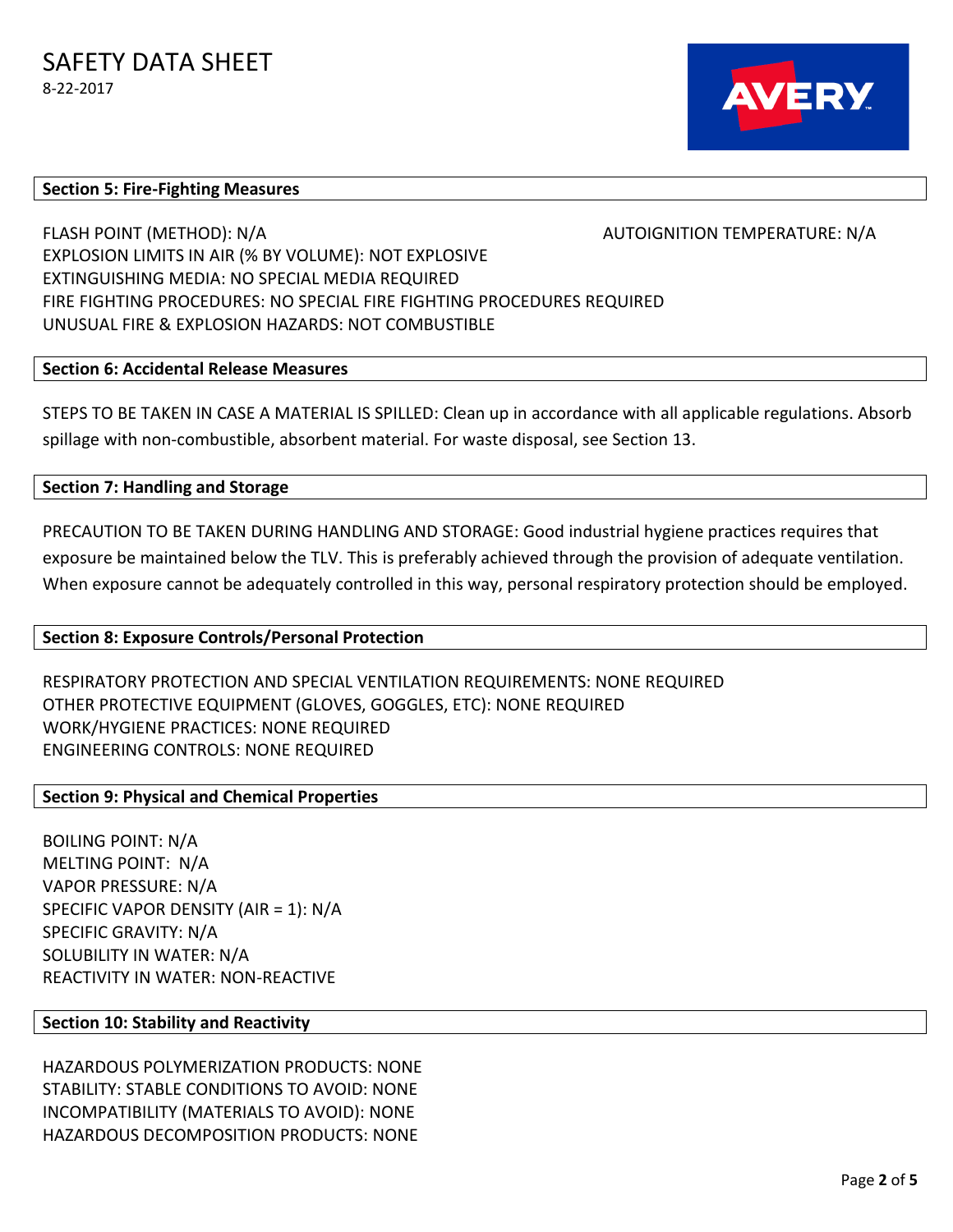

#### **Section 5: Fire-Fighting Measures**

FLASH POINT (METHOD): N/A AUTOIGNITION TEMPERATURE: N/A EXPLOSION LIMITS IN AIR (% BY VOLUME): NOT EXPLOSIVE EXTINGUISHING MEDIA: NO SPECIAL MEDIA REQUIRED FIRE FIGHTING PROCEDURES: NO SPECIAL FIRE FIGHTING PROCEDURES REQUIRED UNUSUAL FIRE & EXPLOSION HAZARDS: NOT COMBUSTIBLE

### **Section 6: Accidental Release Measures**

STEPS TO BE TAKEN IN CASE A MATERIAL IS SPILLED: Clean up in accordance with all applicable regulations. Absorb spillage with non-combustible, absorbent material. For waste disposal, see Section 13.

**Section 7: Handling and Storage**

PRECAUTION TO BE TAKEN DURING HANDLING AND STORAGE: Good industrial hygiene practices requires that exposure be maintained below the TLV. This is preferably achieved through the provision of adequate ventilation. When exposure cannot be adequately controlled in this way, personal respiratory protection should be employed.

#### **Section 8: Exposure Controls/Personal Protection**

RESPIRATORY PROTECTION AND SPECIAL VENTILATION REQUIREMENTS: NONE REQUIRED OTHER PROTECTIVE EQUIPMENT (GLOVES, GOGGLES, ETC): NONE REQUIRED WORK/HYGIENE PRACTICES: NONE REQUIRED ENGINEERING CONTROLS: NONE REQUIRED

### **Section 9: Physical and Chemical Properties**

BOILING POINT: N/A MELTING POINT: N/A VAPOR PRESSURE: N/A SPECIFIC VAPOR DENSITY (AIR = 1): N/A SPECIFIC GRAVITY: N/A SOLUBILITY IN WATER: N/A REACTIVITY IN WATER: NON-REACTIVE

#### **Section 10: Stability and Reactivity**

HAZARDOUS POLYMERIZATION PRODUCTS: NONE STABILITY: STABLE CONDITIONS TO AVOID: NONE INCOMPATIBILITY (MATERIALS TO AVOID): NONE HAZARDOUS DECOMPOSITION PRODUCTS: NONE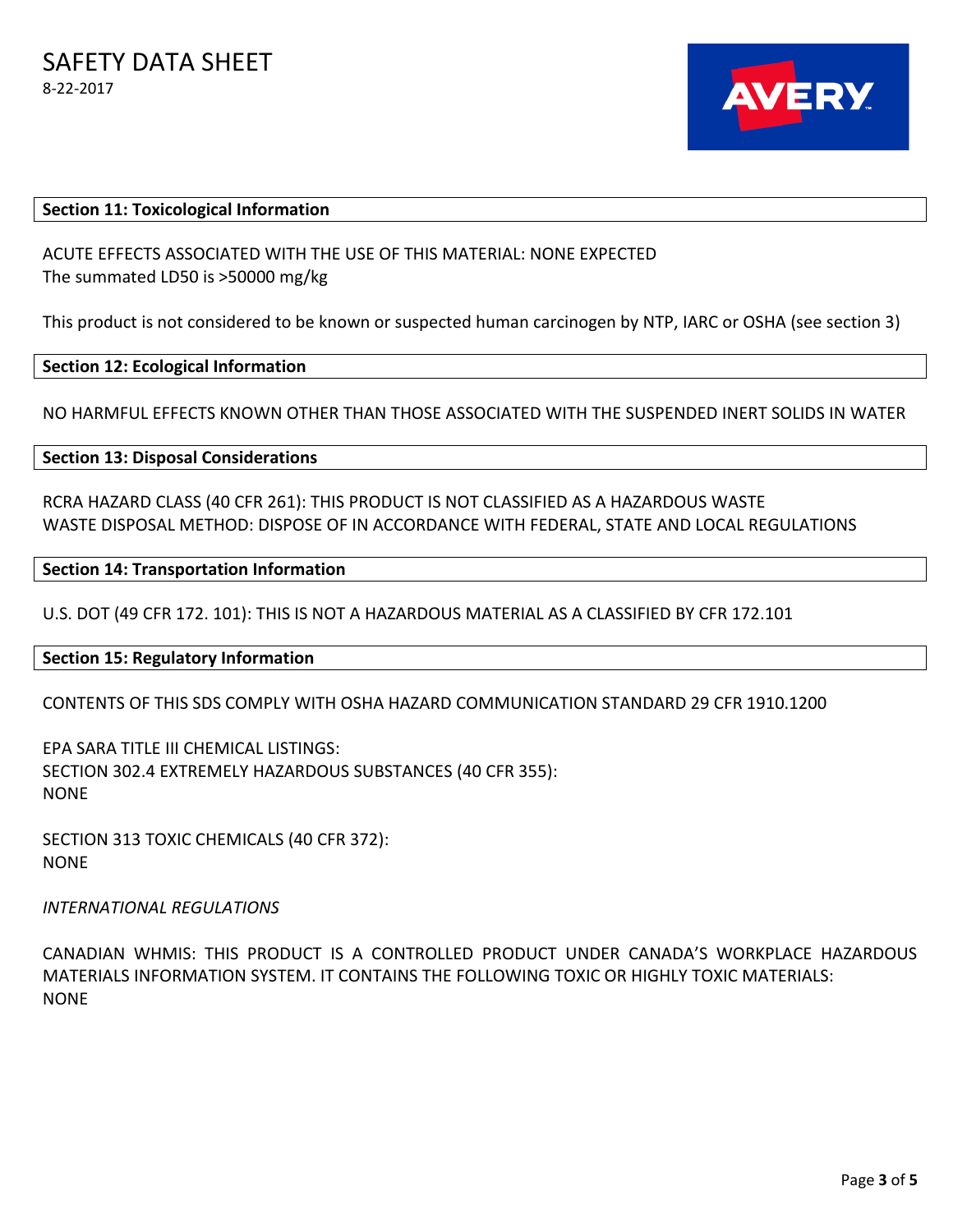

#### **Section 11: Toxicological Information**

ACUTE EFFECTS ASSOCIATED WITH THE USE OF THIS MATERIAL: NONE EXPECTED The summated LD50 is >50000 mg/kg

This product is not considered to be known or suspected human carcinogen by NTP, IARC or OSHA (see section 3)

#### **Section 12: Ecological Information**

NO HARMFUL EFFECTS KNOWN OTHER THAN THOSE ASSOCIATED WITH THE SUSPENDED INERT SOLIDS IN WATER

**Section 13: Disposal Considerations** 

RCRA HAZARD CLASS (40 CFR 261): THIS PRODUCT IS NOT CLASSIFIED AS A HAZARDOUS WASTE WASTE DISPOSAL METHOD: DISPOSE OF IN ACCORDANCE WITH FEDERAL, STATE AND LOCAL REGULATIONS

#### **Section 14: Transportation Information**

U.S. DOT (49 CFR 172. 101): THIS IS NOT A HAZARDOUS MATERIAL AS A CLASSIFIED BY CFR 172.101

#### **Section 15: Regulatory Information**

CONTENTS OF THIS SDS COMPLY WITH OSHA HAZARD COMMUNICATION STANDARD 29 CFR 1910.1200

EPA SARA TITLE III CHEMICAL LISTINGS: SECTION 302.4 EXTREMELY HAZARDOUS SUBSTANCES (40 CFR 355): NONE

SECTION 313 TOXIC CHEMICALS (40 CFR 372): NONE

*INTERNATIONAL REGULATIONS* 

CANADIAN WHMIS: THIS PRODUCT IS A CONTROLLED PRODUCT UNDER CANADA'S WORKPLACE HAZARDOUS MATERIALS INFORMATION SYSTEM. IT CONTAINS THE FOLLOWING TOXIC OR HIGHLY TOXIC MATERIALS: NONE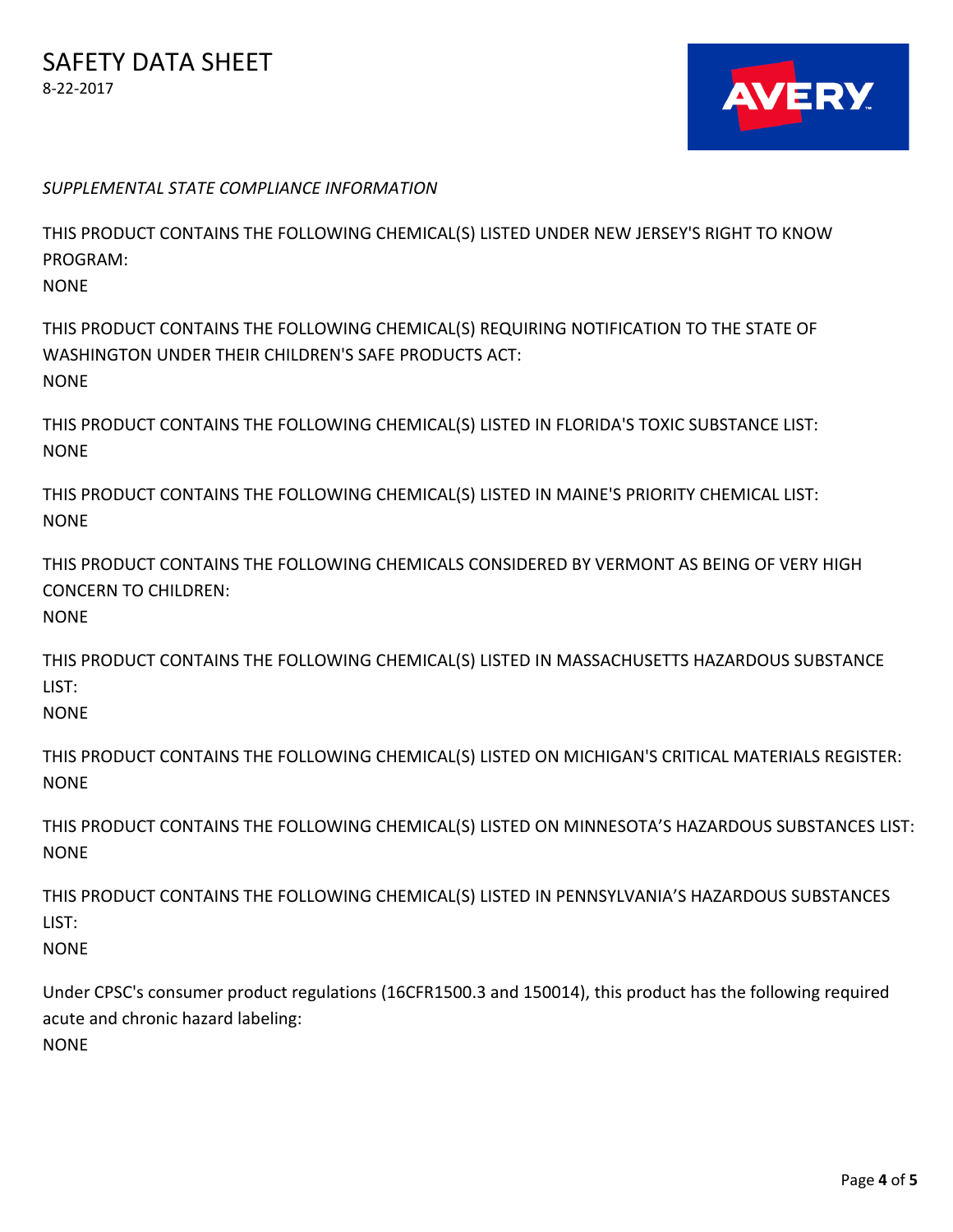

*SUPPLEMENTAL STATE COMPLIANCE INFORMATION*

THIS PRODUCT CONTAINS THE FOLLOWING CHEMICAL(S) LISTED UNDER NEW JERSEY'S RIGHT TO KNOW PROGRAM:

**NONE** 

THIS PRODUCT CONTAINS THE FOLLOWING CHEMICAL(S) REQUIRING NOTIFICATION TO THE STATE OF WASHINGTON UNDER THEIR CHILDREN'S SAFE PRODUCTS ACT: **NONE** 

THIS PRODUCT CONTAINS THE FOLLOWING CHEMICAL(S) LISTED IN FLORIDA'S TOXIC SUBSTANCE LIST: NONE

THIS PRODUCT CONTAINS THE FOLLOWING CHEMICAL(S) LISTED IN MAINE'S PRIORITY CHEMICAL LIST: NONE

THIS PRODUCT CONTAINS THE FOLLOWING CHEMICALS CONSIDERED BY VERMONT AS BEING OF VERY HIGH CONCERN TO CHILDREN:

**NONE** 

THIS PRODUCT CONTAINS THE FOLLOWING CHEMICAL(S) LISTED IN MASSACHUSETTS HAZARDOUS SUBSTANCE LIST:

NONE

THIS PRODUCT CONTAINS THE FOLLOWING CHEMICAL(S) LISTED ON MICHIGAN'S CRITICAL MATERIALS REGISTER: **NONE** 

THIS PRODUCT CONTAINS THE FOLLOWING CHEMICAL(S) LISTED ON MINNESOTA'S HAZARDOUS SUBSTANCES LIST: NONE

THIS PRODUCT CONTAINS THE FOLLOWING CHEMICAL(S) LISTED IN PENNSYLVANIA'S HAZARDOUS SUBSTANCES LIST:

NONE

Under CPSC's consumer product regulations (16CFR1500.3 and 150014), this product has the following required acute and chronic hazard labeling:

**NONE**